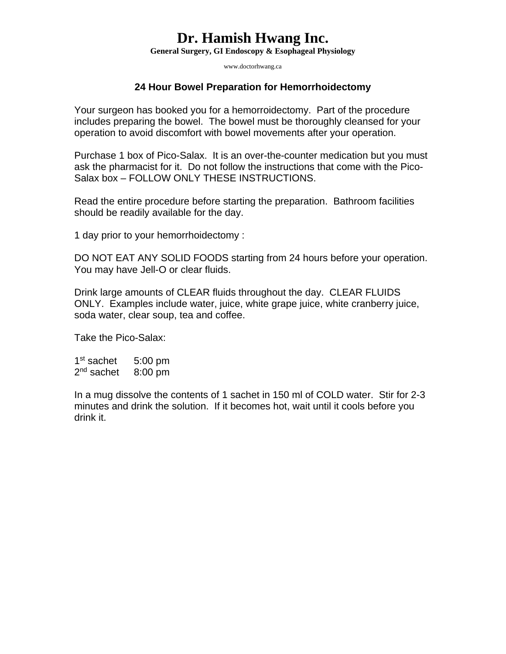## **Dr. Hamish Hwang Inc.**

**General Surgery, GI Endoscopy & Esophageal Physiology** 

www.doctorhwang.ca

### **24 Hour Bowel Preparation for Hemorrhoidectomy**

Your surgeon has booked you for a hemorroidectomy. Part of the procedure includes preparing the bowel. The bowel must be thoroughly cleansed for your operation to avoid discomfort with bowel movements after your operation.

Purchase 1 box of Pico-Salax. It is an over-the-counter medication but you must ask the pharmacist for it. Do not follow the instructions that come with the Pico-Salax box – FOLLOW ONLY THESE INSTRUCTIONS.

Read the entire procedure before starting the preparation. Bathroom facilities should be readily available for the day.

1 day prior to your hemorrhoidectomy :

DO NOT EAT ANY SOLID FOODS starting from 24 hours before your operation. You may have Jell-O or clear fluids.

Drink large amounts of CLEAR fluids throughout the day. CLEAR FLUIDS ONLY. Examples include water, juice, white grape juice, white cranberry juice, soda water, clear soup, tea and coffee.

Take the Pico-Salax:

1<sup>st</sup> sachet 5:00 pm 2<sup>nd</sup> sachet 8:00 pm

In a mug dissolve the contents of 1 sachet in 150 ml of COLD water. Stir for 2-3 minutes and drink the solution. If it becomes hot, wait until it cools before you drink it.